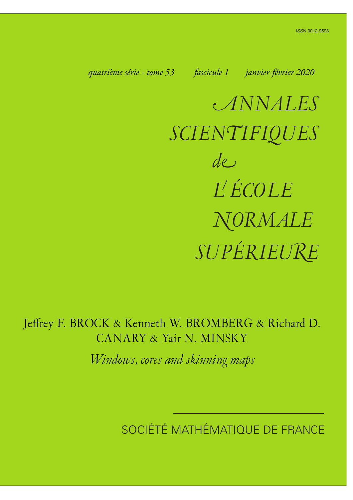<span id="page-0-0"></span>*quatrième série - tome 53 fascicule 1 janvier-février 2020*

a*NNALES SCIEN*n*IFIQUES SUPÉRIEU*k*<sup>E</sup> de L ÉCOLE* h*ORMALE*

Jeffrey F. BROCK & Kenneth W. BROMBERG & Richard D. CANARY & Yair N. MINSKY

*Windows, cores and skinning maps*

SOCIÉTÉ MATHÉMATIQUE DE FRANCE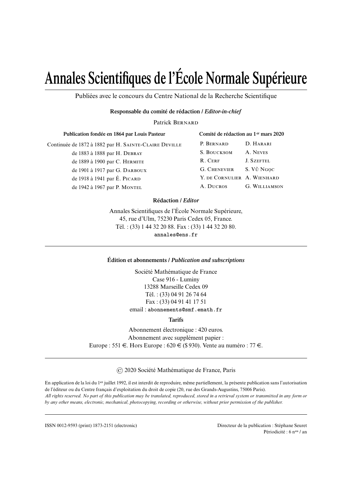# **Annales Scientifiques de l'École Normale Supérieure**

Publiées avec le concours du Centre National de la Recherche Scientifique

### **Responsable du comité de rédaction /** *Editor-in-chief*

Patrick BERNARD

| Publication fondée en 1864 par Louis Pasteur          | Comité de rédaction au 1 <sup>er</sup> mars 2020 |                      |
|-------------------------------------------------------|--------------------------------------------------|----------------------|
| Continuée de 1872 à 1882 par H. SAINTE-CLAIRE DEVILLE | P. BERNARD                                       | D. HARARI            |
| de 1883 à 1888 par H. DEBRAY                          | S. BOUCKSOM                                      | A. NEVES             |
| de 1889 à 1900 par C. HERMITE                         | R. CERF                                          | J. SZEFTEL           |
| de 1901 à 1917 par G. DARBOUX                         | <b>G. CHENEVIER</b>                              | S. Vũ Ngọc           |
| de 1918 à 1941 par É. PICARD                          | Y. DE CORNULIER A. WIENHARD                      |                      |
| de 1942 à 1967 par P. MONTEL                          | A. DUCROS                                        | <b>G. WILLIAMSON</b> |

## **Rédaction /** *Editor*

Annales Scientifiques de l'École Normale Supérieure, 45, rue d'Ulm, 75230 Paris Cedex 05, France. Tél. : (33) 1 44 32 20 88. Fax : (33) 1 44 32 20 80. annales@ens.fr

#### **Édition et abonnements /** *Publication and subscriptions*

Société Mathématique de France Case 916 - Luminy 13288 Marseille Cedex 09 Tél. : (33) 04 91 26 74 64 Fax : (33) 04 91 41 17 51 email : abonnements@smf.emath.fr

**Tarifs**

Abonnement électronique : 420 euros. Abonnement avec supplément papier : Europe : 551  $\in$ . Hors Europe : 620  $\in$  (\$930). Vente au numéro : 77  $\in$ .

© 2020 Société Mathématique de France, Paris

En application de la loi du 1er juillet 1992, il est interdit de reproduire, même partiellement, la présente publication sans l'autorisation de l'éditeur ou du Centre français d'exploitation du droit de copie (20, rue des Grands-Augustins, 75006 Paris). *All rights reserved. No part of this publication may be translated, reproduced, stored in a retrieval system or transmitted in any form or by any other means, electronic, mechanical, photocopying, recording or otherwise, without prior permission of the publisher.*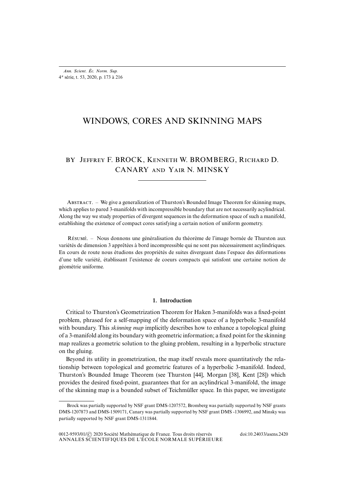# WINDOWS, CORES AND SKINNING MAPS

## BY JEFFREY F. BROCK, KENNETH W. BROMBERG, RICHARD D. CANARY AND YAIR N. MINSKY

ABSTRACT. – We give a generalization of Thurston's Bounded Image Theorem for skinning maps, which applies to pared 3-manifolds with incompressible boundary that are not necessarily acylindrical. Along the way we study properties of divergent sequences in the deformation space of such a manifold, establishing the existence of compact cores satisfying a certain notion of uniform geometry.

R. – Nous donnons une généralisation du théorème de l'image bornée de Thurston aux variétés de dimension 3 apprêtées à bord incompressible qui ne sont pas nécessairement acylindriques. En cours de route nous étudions des propriétés de suites divergeant dans l'espace des déformations d'une telle variété, établissant l'existence de coeurs compacts qui satisfont une certaine notion de géométrie uniforme.

#### **1. Introduction**

Critical to Thurston's Geometrization Theorem for Haken 3-manifolds was a fixed-point problem, phrased for a self-mapping of the deformation space of a hyperbolic 3-manifold with boundary. This *skinning map* implicitly describes how to enhance a topological gluing of a 3-manifold along its boundary with geometric information; a fixed point for the skinning map realizes a geometric solution to the gluing problem, resulting in a hyperbolic structure on the gluing.

Beyond its utility in geometrization, the map itself reveals more quantitatively the relationship between topological and geometric features of a hyperbolic 3-manifold. Indeed, Thurston's Bounded Image Theorem (see Thurston [\[44\]](#page--1-0), Morgan [\[38\]](#page--1-1), Kent [\[28\]](#page--1-2)) which provides the desired fixed-point, guarantees that for an acylindrical 3-manifold, the image of the skinning map is a bounded subset of Teichmüller space. In this paper, we investigate

Brock was partially supported by NSF grant DMS-1207572, Bromberg was partially supported by NSF grants DMS-1207873 and DMS-1509171, Canary was partially supported by NSF grant DMS -1306992, and Minsky was partially supported by NSF grant DMS-1311844.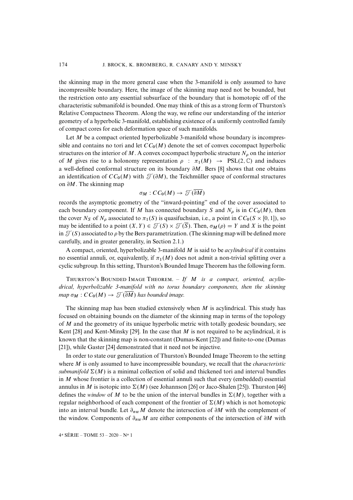the skinning map in the more general case when the 3-manifold is only assumed to have incompressible boundary. Here, the image of the skinning map need not be bounded, but the restriction onto any essential subsurface of the boundary that is homotopic off of the characteristic submanifold is bounded. One may think of this as a strong form of Thurston's Relative Compactness Theorem. Along the way, we refine our understanding of the interior geometry of a hyperbolic 3-manifold, establishing existence of a uniformly controlled family of compact cores for each deformation space of such manifolds.

Let  $M$  be a compact oriented hyperbolizable 3-manifold whose boundary is incompressible and contains no tori and let  $CC_0(M)$  denote the set of convex cocompact hyperbolic structures on the interior of M. A convex cocompact hyperbolic structure  $N<sub>o</sub>$  on the interior of M gives rise to a holonomy representation  $\rho : \pi_1(M) \rightarrow PSL(2,\mathbb{C})$  and induces a well-defined conformal structure on its boundary  $\partial M$ . Bers [\[8\]](#page--1-3) shows that one obtains an identification of  $CC_0(M)$  with  $\mathcal{T}(\partial M)$ , the Teichmüller space of conformal structures on  $\partial M$ . The skinning map

$$
\sigma_M: CC_0(M) \to \mathcal{T}(\overline{\partial M})
$$

records the asymptotic geometry of the "inward-pointing" end of the cover associated to each boundary component. If M has connected boundary S and  $N_\rho$  is in  $CC_0(M)$ , then the cover  $N_S$  of  $N_\rho$  associated to  $\pi_1(S)$  is quasifuchsian, i.e., a point in  $CC_0(S \times [0, 1])$ , so may be identified to a point  $(X, Y) \in \mathcal{T}(S) \times \mathcal{T}(\overline{S})$ . Then,  $\sigma_M(\rho) = Y$  and X is the point in  $\mathcal{T}(S)$  associated to  $\rho$  by the Bers parametrization. (The skinning map will be defined more carefully, and in greater generality, in Section [2.1.](#page--1-4))

A compact, oriented, hyperbolizable 3-manifold M is said to be *acylindrical* if it contains no essential annuli, or, equivalently, if  $\pi_1(M)$  does not admit a non-trivial splitting over a cyclic subgroup. In this setting, Thurston's Bounded Image Theorem has the following form.

THURSTON'S BOUNDED IMAGE THEOREM. - If M is a compact, oriented, acylin*drical, hyperbolizable 3-manifold with no torus boundary components, then the skinning map*  $\sigma_M$  :  $CC_0(M) \rightarrow \mathcal{T}(\partial M)$  has bounded image.

The skinning map has been studied extensively when  $M$  is acylindrical. This study has focused on obtaining bounds on the diameter of the skinning map in terms of the topology of M and the geometry of its unique hyperbolic metric with totally geodesic boundary, see Kent [\[28\]](#page--1-2) and Kent-Minsky [\[29\]](#page--1-5). In the case that  $M$  is not required to be acylindrical, it is known that the skinning map is non-constant (Dumas-Kent [\[22\]](#page--1-6)) and finite-to-one (Dumas [\[21\]](#page--1-7)), while Gaster [\[24\]](#page--1-8) demonstrated that it need not be injective.

In order to state our generalization of Thurston's Bounded Image Theorem to the setting where M is only assumed to have incompressible boundary, we recall that the *characteristic submanifold*  $\Sigma(M)$  is a minimal collection of solid and thickened tori and interval bundles in M whose frontier is a collection of essential annuli such that every (embedded) essential annulus in M is isotopic into  $\Sigma(M)$  (see Johannson [\[26\]](#page--1-9) or Jaco-Shalen [\[25\]](#page--1-10)). Thurston [\[46\]](#page--1-11) defines the *window* of M to be the union of the interval bundles in  $\Sigma(M)$ , together with a regular neighborhood of each component of the frontier of  $\Sigma(M)$  which is not homotopic into an interval bundle. Let  $\partial_{nw}M$  denote the intersection of  $\partial M$  with the complement of the window. Components of  $\partial_{nw}M$  are either components of the intersection of  $\partial M$  with